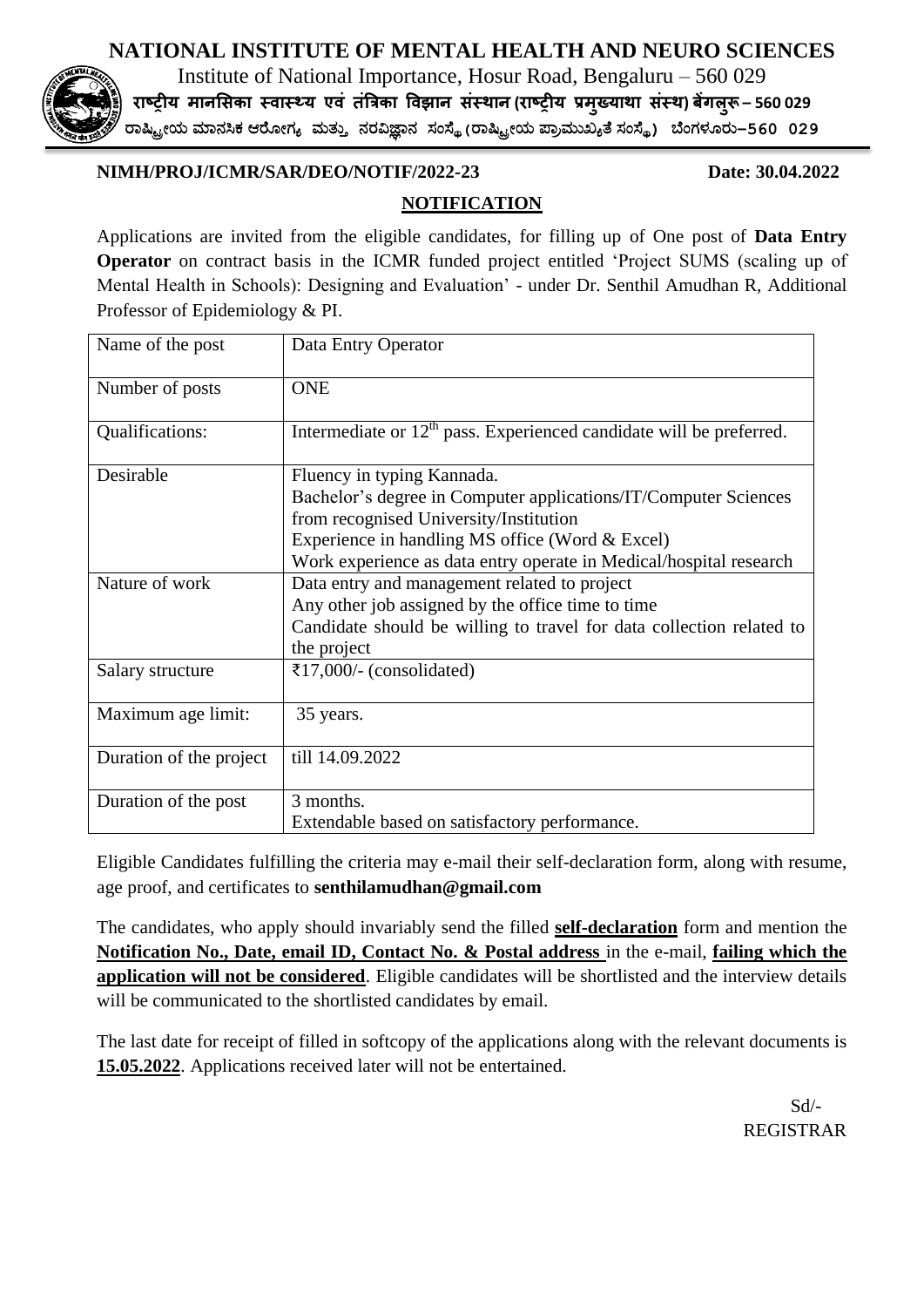## **NATIONAL INSTITUTE OF MENTAL HEALTH AND NEURO SCIENCES**



Institute of National Importance, Hosur Road, Bengaluru – 560 029 **राष्ट्रीय मानसिका स्वास््य एवं तंत्रिका ववझान िंस्थान (राष्ट्रीय प्रमख्ु याथा िंस्थ) बेंगलरूु – 560 029**

ರಾಷ್ಟ್ರೀಯ ಮಾನಸಿಕ ಆರ ೀಗ್ಯ ಮತ್ತು ನರವಿಜ್ಞಾನ ಸಂಸ್ಥೆ**(**ರಾಷ್ಟ್ರೀಯ ಪ್ಾಾಮತಖ್ಯತೆ ಸಂಸ್ಥೆ**)** ಬಂಗ್ಳ ರತ**–560 029**

## **NIMH/PROJ/ICMR/SAR/DEO/NOTIF/2022-23 Date: 30.04.2022**

## **NOTIFICATION**

Applications are invited from the eligible candidates, for filling up of One post of **Data Entry Operator** on contract basis in the ICMR funded project entitled 'Project SUMS (scaling up of Mental Health in Schools): Designing and Evaluation' - under Dr. Senthil Amudhan R, Additional Professor of Epidemiology & PI.

| Name of the post        | Data Entry Operator                                                             |  |
|-------------------------|---------------------------------------------------------------------------------|--|
| Number of posts         | <b>ONE</b>                                                                      |  |
| Qualifications:         | Intermediate or 12 <sup>th</sup> pass. Experienced candidate will be preferred. |  |
| Desirable               | Fluency in typing Kannada.                                                      |  |
|                         | Bachelor's degree in Computer applications/IT/Computer Sciences                 |  |
|                         | from recognised University/Institution                                          |  |
|                         | Experience in handling MS office (Word & Excel)                                 |  |
|                         | Work experience as data entry operate in Medical/hospital research              |  |
| Nature of work          | Data entry and management related to project                                    |  |
|                         | Any other job assigned by the office time to time                               |  |
|                         | Candidate should be willing to travel for data collection related to            |  |
|                         | the project                                                                     |  |
| Salary structure        | ₹17,000/- (consolidated)                                                        |  |
| Maximum age limit:      | 35 years.                                                                       |  |
| Duration of the project | till 14.09.2022                                                                 |  |
| Duration of the post    | 3 months.                                                                       |  |
|                         | Extendable based on satisfactory performance.                                   |  |

Eligible Candidates fulfilling the criteria may e-mail their self-declaration form, along with resume, age proof, and certificates to **senthilamudhan@gmail.com**

The candidates, who apply should invariably send the filled **self-declaration** form and mention the **Notification No., Date, email ID, Contact No. & Postal address** in the e-mail, **failing which the application will not be considered**. Eligible candidates will be shortlisted and the interview details will be communicated to the shortlisted candidates by email.

The last date for receipt of filled in softcopy of the applications along with the relevant documents is **15.05.2022**. Applications received later will not be entertained.

 Sd/- REGISTRAR